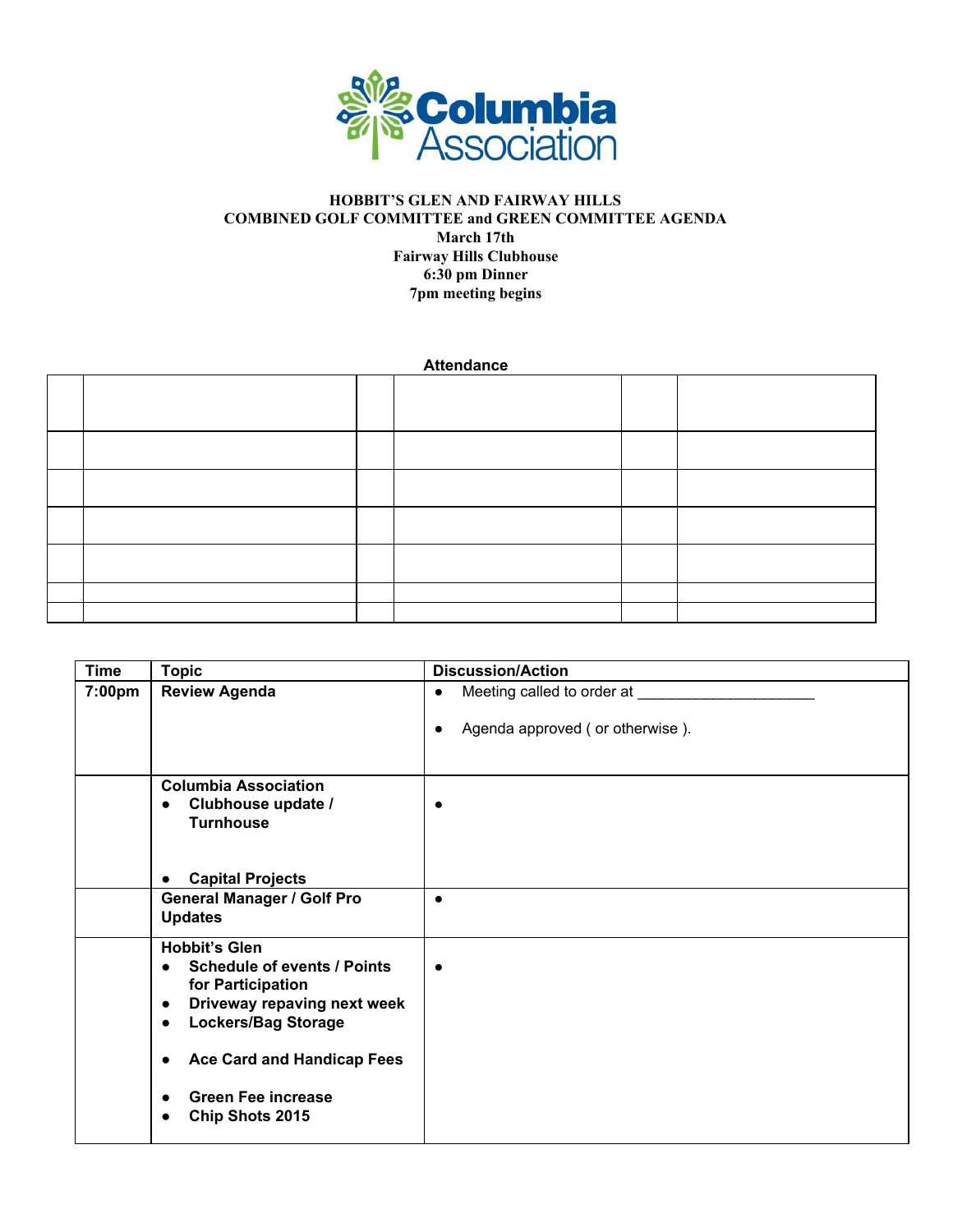

## **HOBBIT'S GLEN AND FAIRWAY HILLS COMBINED GOLF COMMITTEE and GREEN COMMITTEE AGENDA March 17th Fairway Hills Clubhouse 6:30 pm Dinner 7pm meeting begins**

**Attendance**

| <b>Time</b> | <b>Topic</b>                                                                                                                                                                                                                                                             | <b>Discussion/Action</b>                                                                     |
|-------------|--------------------------------------------------------------------------------------------------------------------------------------------------------------------------------------------------------------------------------------------------------------------------|----------------------------------------------------------------------------------------------|
| 7:00pm      | <b>Review Agenda</b>                                                                                                                                                                                                                                                     | Meeting called to order at ____<br>$\bullet$<br>Agenda approved (or otherwise).<br>$\bullet$ |
|             | <b>Columbia Association</b><br>Clubhouse update /<br>$\bullet$<br><b>Turnhouse</b><br><b>Capital Projects</b>                                                                                                                                                            | $\bullet$                                                                                    |
|             | <b>General Manager / Golf Pro</b><br><b>Updates</b>                                                                                                                                                                                                                      | $\bullet$                                                                                    |
|             | <b>Hobbit's Glen</b><br><b>Schedule of events / Points</b><br>$\bullet$<br>for Participation<br>Driveway repaving next week<br>$\bullet$<br><b>Lockers/Bag Storage</b><br>$\bullet$<br><b>Ace Card and Handicap Fees</b><br><b>Green Fee increase</b><br>Chip Shots 2015 | $\bullet$                                                                                    |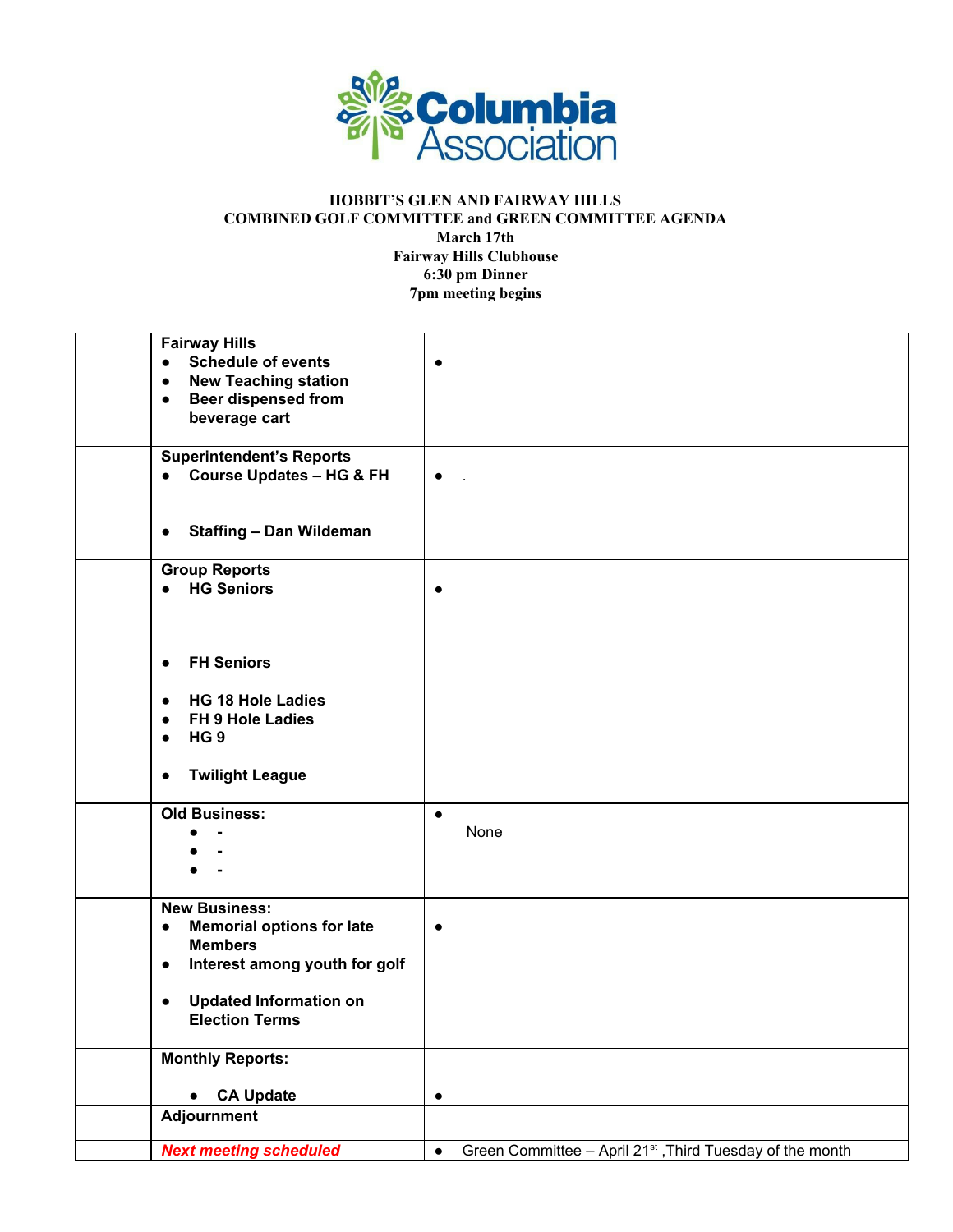

## **HOBBIT'S GLEN AND FAIRWAY HILLS COMBINED GOLF COMMITTEE and GREEN COMMITTEE AGENDA March 17th Fairway Hills Clubhouse 6:30 pm Dinner 7pm meeting begins**

| <b>Fairway Hills</b>                          |                                                                                    |
|-----------------------------------------------|------------------------------------------------------------------------------------|
| <b>Schedule of events</b><br>$\bullet$        | $\bullet$                                                                          |
| <b>New Teaching station</b><br>$\bullet$      |                                                                                    |
| <b>Beer dispensed from</b><br>$\bullet$       |                                                                                    |
| beverage cart                                 |                                                                                    |
|                                               |                                                                                    |
| <b>Superintendent's Reports</b>               |                                                                                    |
| • Course Updates - HG & FH                    | $\bullet$                                                                          |
|                                               |                                                                                    |
|                                               |                                                                                    |
| <b>Staffing - Dan Wildeman</b><br>$\bullet$   |                                                                                    |
|                                               |                                                                                    |
| <b>Group Reports</b>                          |                                                                                    |
| • HG Seniors                                  | ٠                                                                                  |
|                                               |                                                                                    |
|                                               |                                                                                    |
|                                               |                                                                                    |
| <b>FH Seniors</b><br>$\bullet$                |                                                                                    |
|                                               |                                                                                    |
| <b>HG 18 Hole Ladies</b><br>$\bullet$         |                                                                                    |
| FH 9 Hole Ladies<br>$\bullet$                 |                                                                                    |
| HG <sub>9</sub><br>$\bullet$                  |                                                                                    |
|                                               |                                                                                    |
| <b>Twilight League</b><br>$\bullet$           |                                                                                    |
|                                               |                                                                                    |
| <b>Old Business:</b>                          | $\bullet$                                                                          |
|                                               | None                                                                               |
|                                               |                                                                                    |
|                                               |                                                                                    |
|                                               |                                                                                    |
| <b>New Business:</b>                          |                                                                                    |
| <b>Memorial options for late</b><br>$\bullet$ | $\bullet$                                                                          |
| <b>Members</b>                                |                                                                                    |
| Interest among youth for golf<br>$\bullet$    |                                                                                    |
|                                               |                                                                                    |
| <b>Updated Information on</b><br>$\bullet$    |                                                                                    |
| <b>Election Terms</b>                         |                                                                                    |
|                                               |                                                                                    |
| <b>Monthly Reports:</b>                       |                                                                                    |
|                                               |                                                                                    |
| <b>CA Update</b>                              | $\bullet$                                                                          |
| <b>Adjournment</b>                            |                                                                                    |
|                                               |                                                                                    |
| <b>Next meeting scheduled</b>                 | Green Committee - April 21 <sup>st</sup> , Third Tuesday of the month<br>$\bullet$ |